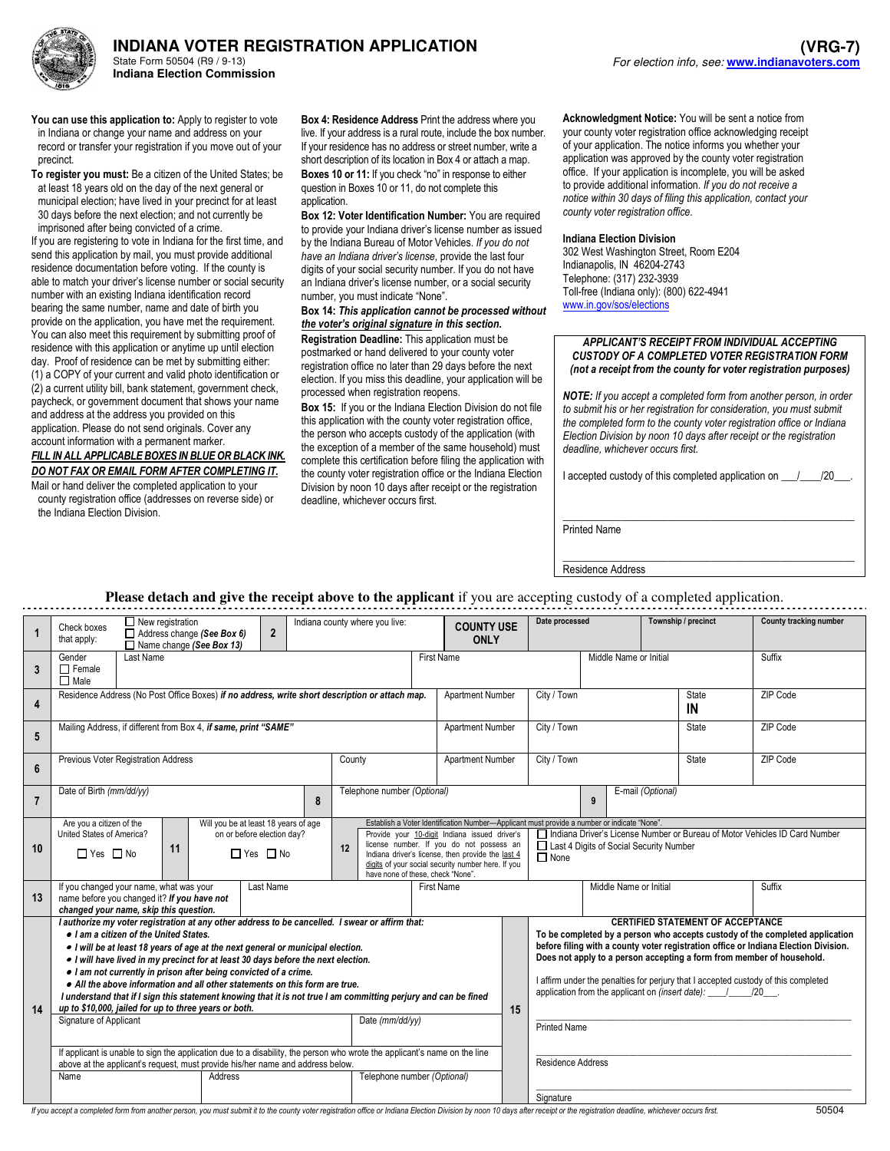

**INDIANA VOTER REGISTRATION APPLICATION**  State Form 50504 (R9 / 9-13)

You can use this application to: Apply to register to vote in Indiana or change your name and address on your record or transfer your registration if you move out of your precinct.

**Indiana Election Commission** 

To register you must: Be a citizen of the United States; be at least 18 years old on the day of the next general or municipal election; have lived in your precinct for at least 30 days before the next election; and not currently be imprisoned after being convicted of a crime.

If you are registering to vote in Indiana for the first time, and send this application by mail, you must provide additional residence documentation before voting. If the county is able to match your driver's license number or social security number with an existing Indiana identification record bearing the same number, name and date of birth you provide on the application, you have met the requirement. You can also meet this requirement by submitting proof of residence with this application or anytime up until election day. Proof of residence can be met by submitting either: (1) a COPY of your current and valid photo identification or (2) a current utility bill, bank statement, government check, paycheck, or government document that shows your name and address at the address you provided on this application. Please do not send originals. Cover any account information with a permanent marker.

FILL IN ALL APPLICABLE BOXES IN BLUE OR BLACK INK. DO NOT FAX OR EMAIL FORM AFTER COMPLETING IT. Mail or hand deliver the completed application to your

county registration office (addresses on reverse side) or the Indiana Election Division.

Box 4: Residence Address Print the address where you live. If your address is a rural route, include the box number. If your residence has no address or street number, write a short description of its location in Box 4 or attach a map.

Boxes 10 or 11: If you check "no" in response to either question in Boxes 10 or 11, do not complete this application

Box 12: Voter Identification Number: You are required to provide your Indiana driver's license number as issued by the Indiana Bureau of Motor Vehicles. If you do not have an Indiana driver's license, provide the last four digits of your social security number. If you do not have an Indiana driver's license number, or a social security number, you must indicate "None".

## Box 14: This application cannot be processed without the voter's original signature in this section.

Registration Deadline: This application must be postmarked or hand delivered to your county voter registration office no later than 29 days before the next election. If you miss this deadline, your application will be processed when registration reopens.

Box 15: If you or the Indiana Election Division do not file this application with the county voter registration office, the person who accepts custody of the application (with the exception of a member of the same household) must complete this certification before filing the application with the county voter registration office or the Indiana Election Division by noon 10 days after receipt or the registration deadline, whichever occurs first.

Acknowledgment Notice: You will be sent a notice from your county voter registration office acknowledging receipt of your application. The notice informs you whether your application was approved by the county voter registration office. If your application is incomplete, you will be asked to provide additional information. If you do not receive a notice within 30 days of filing this application, contact your county voter registration office.

## Indiana Election Division

302 West Washington Street, Room E204 Indianapolis, IN 46204-2743 Telephone: (317) 232-3939 Toll-free (Indiana only): (800) 622-4941 www.in.gov/sos/elections

## APPLICANT'S RECEIPT FROM INDIVIDUAL ACCEPTING CUSTODY OF A COMPLETED VOTER REGISTRATION FORM (not a receipt from the county for voter registration purposes)

NOTE: If you accept a completed form from another person, in order to submit his or her registration for consideration, you must submit the completed form to the county voter registration office or Indiana Election Division by noon 10 days after receipt or the registration deadline, whichever occurs first.

I accepted custody of this completed application on  $\frac{1}{2}$ 

\_\_\_\_\_\_\_\_\_\_\_\_\_\_\_\_\_\_\_\_\_\_\_\_\_\_\_\_\_\_\_\_\_\_\_\_\_\_\_\_\_\_\_\_\_\_\_\_\_\_\_\_\_\_\_

Printed Name

\_\_\_\_\_\_\_\_\_\_\_\_\_\_\_\_\_\_\_\_\_\_\_\_\_\_\_\_\_\_\_\_\_\_\_\_\_\_\_\_\_\_\_\_\_\_\_\_\_\_\_\_\_\_\_ Residence Address

## **Please detach and give the receipt above to the applicant** if you are accepting custody of a completed application.

|                | $\Box$ New registration<br>Check boxes<br>$\overline{2}$<br>Address change (See Box 6)<br>that apply:<br>$\Box$ Name change (See Box 13)                                                                                                                                                                                                                                                                                                                                                                                                                                                                                                                                                                                                                                                                                                                                                                                                                       |                                            | Indiana county where you live:                                                                                                                                                                                                                                                                                                          |  |                  | <b>COUNTY USE</b>                                                                                                                      | Date processed                                                                                                                                                                                                                                                                                                                                                                                                                                                                            |                    |        | Township / precinct | <b>County tracking number</b> |
|----------------|----------------------------------------------------------------------------------------------------------------------------------------------------------------------------------------------------------------------------------------------------------------------------------------------------------------------------------------------------------------------------------------------------------------------------------------------------------------------------------------------------------------------------------------------------------------------------------------------------------------------------------------------------------------------------------------------------------------------------------------------------------------------------------------------------------------------------------------------------------------------------------------------------------------------------------------------------------------|--------------------------------------------|-----------------------------------------------------------------------------------------------------------------------------------------------------------------------------------------------------------------------------------------------------------------------------------------------------------------------------------------|--|------------------|----------------------------------------------------------------------------------------------------------------------------------------|-------------------------------------------------------------------------------------------------------------------------------------------------------------------------------------------------------------------------------------------------------------------------------------------------------------------------------------------------------------------------------------------------------------------------------------------------------------------------------------------|--------------------|--------|---------------------|-------------------------------|
| 3              | Last Name<br>Gender<br>$\Box$ Female<br>$\Box$ Male                                                                                                                                                                                                                                                                                                                                                                                                                                                                                                                                                                                                                                                                                                                                                                                                                                                                                                            |                                            | <b>First Name</b>                                                                                                                                                                                                                                                                                                                       |  |                  | Middle Name or Initial                                                                                                                 |                                                                                                                                                                                                                                                                                                                                                                                                                                                                                           |                    | Suffix |                     |                               |
| 4              | Residence Address (No Post Office Boxes) if no address, write short description or attach map.                                                                                                                                                                                                                                                                                                                                                                                                                                                                                                                                                                                                                                                                                                                                                                                                                                                                 |                                            |                                                                                                                                                                                                                                                                                                                                         |  |                  | Apartment Number                                                                                                                       | City / Town                                                                                                                                                                                                                                                                                                                                                                                                                                                                               | <b>State</b><br>IN |        |                     | ZIP Code                      |
| 5              | Mailing Address, if different from Box 4, if same, print "SAME"<br>Apartment Number                                                                                                                                                                                                                                                                                                                                                                                                                                                                                                                                                                                                                                                                                                                                                                                                                                                                            |                                            |                                                                                                                                                                                                                                                                                                                                         |  |                  |                                                                                                                                        | City / Town<br>ZIP Code<br>State                                                                                                                                                                                                                                                                                                                                                                                                                                                          |                    |        |                     |                               |
| 6              | Previous Voter Registration Address                                                                                                                                                                                                                                                                                                                                                                                                                                                                                                                                                                                                                                                                                                                                                                                                                                                                                                                            | County                                     |                                                                                                                                                                                                                                                                                                                                         |  | Apartment Number | City / Town                                                                                                                            |                                                                                                                                                                                                                                                                                                                                                                                                                                                                                           |                    | State  | ZIP Code            |                               |
| $\overline{7}$ | Date of Birth (mm/dd/yy)                                                                                                                                                                                                                                                                                                                                                                                                                                                                                                                                                                                                                                                                                                                                                                                                                                                                                                                                       | 8                                          | Telephone number (Optional)                                                                                                                                                                                                                                                                                                             |  |                  | E-mail (Optional)<br>9                                                                                                                 |                                                                                                                                                                                                                                                                                                                                                                                                                                                                                           |                    |        |                     |                               |
| 10             | Are you a citizen of the<br>United States of America?<br>11<br>$\Box$ Yes $\Box$ No                                                                                                                                                                                                                                                                                                                                                                                                                                                                                                                                                                                                                                                                                                                                                                                                                                                                            | Will you be at least 18 years of age<br>12 | Establish a Voter Identification Number-Applicant must provide a number or indicate "None"<br>Provide your 10-digit Indiana issued driver's<br>license number. If you do not possess an<br>Indiana driver's license, then provide the last 4<br>digits of your social security number here. If you<br>have none of these, check "None". |  |                  | □ Indiana Driver's License Number or Bureau of Motor Vehicles ID Card Number<br>Last 4 Digits of Social Security Number<br>$\Box$ None |                                                                                                                                                                                                                                                                                                                                                                                                                                                                                           |                    |        |                     |                               |
| 13             | Last Name<br>If you changed your name, what was your<br><b>First Name</b><br>name before you changed it? If you have not<br>changed your name, skip this question.                                                                                                                                                                                                                                                                                                                                                                                                                                                                                                                                                                                                                                                                                                                                                                                             |                                            |                                                                                                                                                                                                                                                                                                                                         |  |                  |                                                                                                                                        | Middle Name or Initial<br>Suffix                                                                                                                                                                                                                                                                                                                                                                                                                                                          |                    |        |                     |                               |
| 14             | I authorize my voter registration at any other address to be cancelled. I swear or affirm that:<br>. I am a citizen of the United States.<br>• I will be at least 18 years of age at the next general or municipal election.<br>. I will have lived in my precinct for at least 30 days before the next election.<br>. I am not currently in prison after being convicted of a crime.<br>• All the above information and all other statements on this form are true.<br>I understand that if I sign this statement knowing that it is not true I am committing perjury and can be fined<br>up to \$10,000, jailed for up to three years or both.<br>Signature of Applicant<br>Date (mm/dd/yy)<br>If applicant is unable to sign the application due to a disability, the person who wrote the applicant's name on the line<br>above at the applicant's request, must provide his/her name and address below.<br>Telephone number (Optional)<br>Name<br>Address |                                            |                                                                                                                                                                                                                                                                                                                                         |  |                  | 15                                                                                                                                     | <b>CERTIFIED STATEMENT OF ACCEPTANCE</b><br>To be completed by a person who accepts custody of the completed application<br>before filing with a county voter registration office or Indiana Election Division.<br>Does not apply to a person accepting a form from member of household.<br>I affirm under the penalties for perjury that I accepted custody of this completed<br>application from the applicant on (insert date): 120<br><b>Printed Name</b><br><b>Residence Address</b> |                    |        |                     |                               |
|                |                                                                                                                                                                                                                                                                                                                                                                                                                                                                                                                                                                                                                                                                                                                                                                                                                                                                                                                                                                |                                            |                                                                                                                                                                                                                                                                                                                                         |  |                  |                                                                                                                                        | Signature                                                                                                                                                                                                                                                                                                                                                                                                                                                                                 |                    |        |                     |                               |

If you accept a completed form from another person, you must submit it to the county voter registration office or Indiana Election Division by noon 10 days after receipt or the registration deadline, whichever occurs first